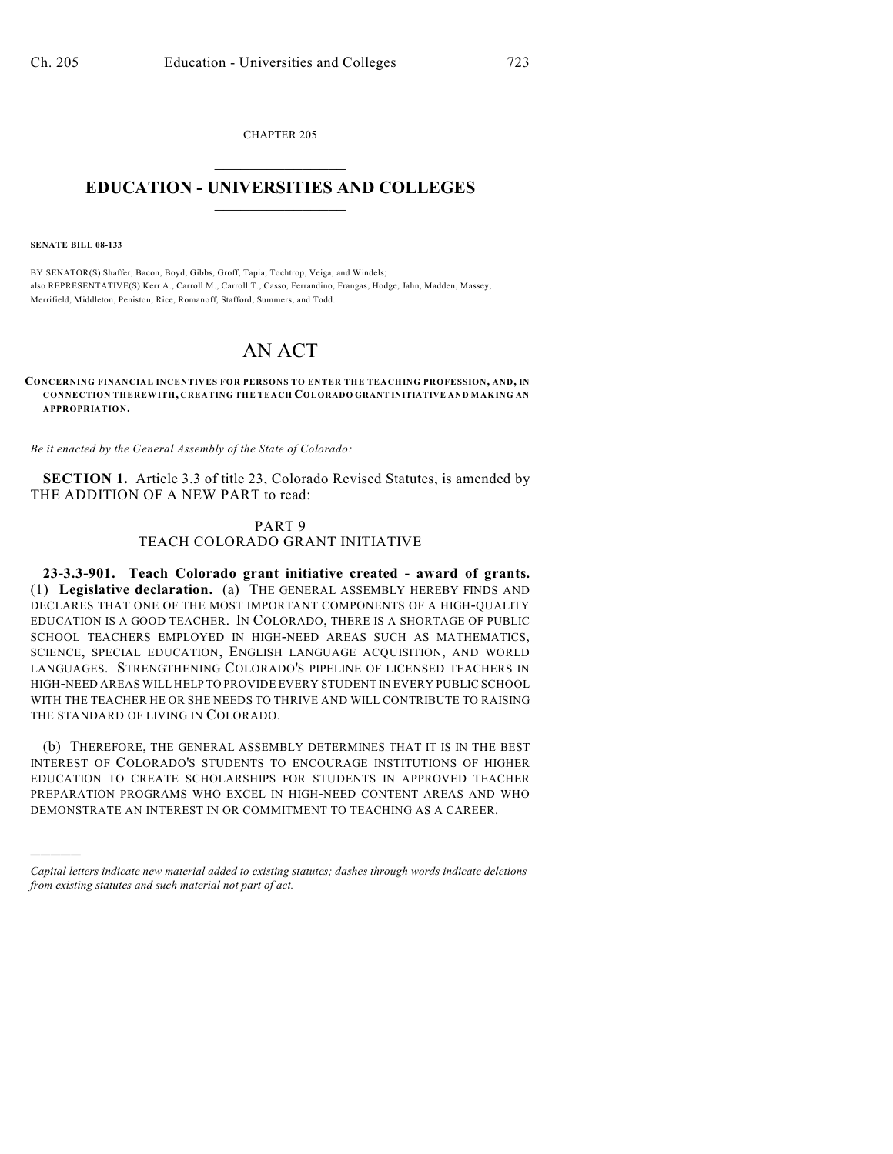CHAPTER 205  $\overline{\phantom{a}}$  . The set of the set of the set of the set of the set of the set of the set of the set of the set of the set of the set of the set of the set of the set of the set of the set of the set of the set of the set o

## **EDUCATION - UNIVERSITIES AND COLLEGES**  $\_$

**SENATE BILL 08-133**

)))))

BY SENATOR(S) Shaffer, Bacon, Boyd, Gibbs, Groff, Tapia, Tochtrop, Veiga, and Windels; also REPRESENTATIVE(S) Kerr A., Carroll M., Carroll T., Casso, Ferrandino, Frangas, Hodge, Jahn, Madden, Massey, Merrifield, Middleton, Peniston, Rice, Romanoff, Stafford, Summers, and Todd.

## AN ACT

## **CONCERNING FINANCIAL INCENTIVES FOR PERSONS TO ENTER THE TEACHING PROFESSION, AND, IN CONNECTION THEREWITH, CREATING THE TEACH COLORADO GRANT INITIATIVE AND MAKING AN APPROPRIATION.**

*Be it enacted by the General Assembly of the State of Colorado:*

**SECTION 1.** Article 3.3 of title 23, Colorado Revised Statutes, is amended by THE ADDITION OF A NEW PART to read:

## PART 9 TEACH COLORADO GRANT INITIATIVE

**23-3.3-901. Teach Colorado grant initiative created - award of grants.** (1) **Legislative declaration.** (a) THE GENERAL ASSEMBLY HEREBY FINDS AND DECLARES THAT ONE OF THE MOST IMPORTANT COMPONENTS OF A HIGH-QUALITY EDUCATION IS A GOOD TEACHER. IN COLORADO, THERE IS A SHORTAGE OF PUBLIC SCHOOL TEACHERS EMPLOYED IN HIGH-NEED AREAS SUCH AS MATHEMATICS, SCIENCE, SPECIAL EDUCATION, ENGLISH LANGUAGE ACQUISITION, AND WORLD LANGUAGES. STRENGTHENING COLORADO'S PIPELINE OF LICENSED TEACHERS IN HIGH-NEED AREAS WILL HELP TO PROVIDE EVERY STUDENT IN EVERY PUBLIC SCHOOL WITH THE TEACHER HE OR SHE NEEDS TO THRIVE AND WILL CONTRIBUTE TO RAISING THE STANDARD OF LIVING IN COLORADO.

(b) THEREFORE, THE GENERAL ASSEMBLY DETERMINES THAT IT IS IN THE BEST INTEREST OF COLORADO'S STUDENTS TO ENCOURAGE INSTITUTIONS OF HIGHER EDUCATION TO CREATE SCHOLARSHIPS FOR STUDENTS IN APPROVED TEACHER PREPARATION PROGRAMS WHO EXCEL IN HIGH-NEED CONTENT AREAS AND WHO DEMONSTRATE AN INTEREST IN OR COMMITMENT TO TEACHING AS A CAREER.

*Capital letters indicate new material added to existing statutes; dashes through words indicate deletions from existing statutes and such material not part of act.*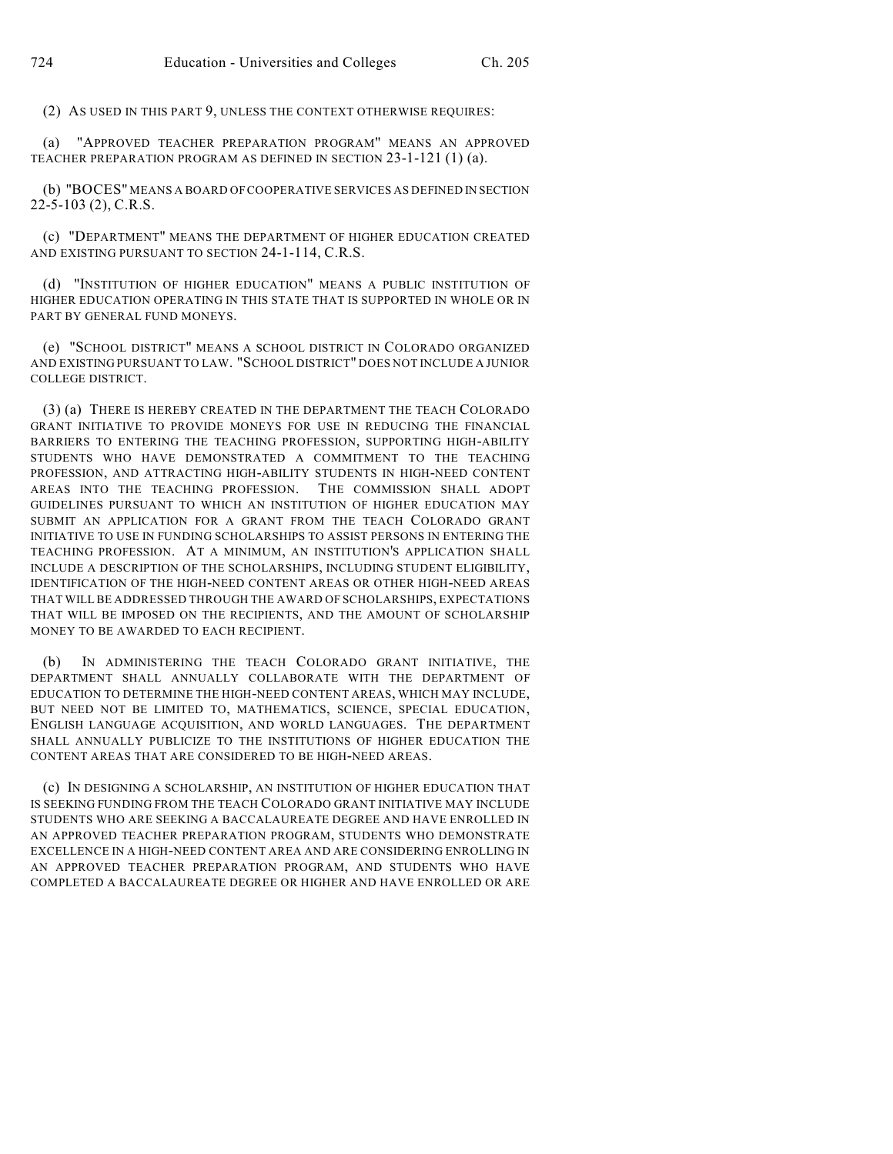(2) AS USED IN THIS PART 9, UNLESS THE CONTEXT OTHERWISE REQUIRES:

(a) "APPROVED TEACHER PREPARATION PROGRAM" MEANS AN APPROVED TEACHER PREPARATION PROGRAM AS DEFINED IN SECTION 23-1-121 (1) (a).

(b) "BOCES" MEANS A BOARD OF COOPERATIVE SERVICES AS DEFINED IN SECTION 22-5-103 (2), C.R.S.

(c) "DEPARTMENT" MEANS THE DEPARTMENT OF HIGHER EDUCATION CREATED AND EXISTING PURSUANT TO SECTION 24-1-114, C.R.S.

(d) "INSTITUTION OF HIGHER EDUCATION" MEANS A PUBLIC INSTITUTION OF HIGHER EDUCATION OPERATING IN THIS STATE THAT IS SUPPORTED IN WHOLE OR IN PART BY GENERAL FUND MONEYS.

(e) "SCHOOL DISTRICT" MEANS A SCHOOL DISTRICT IN COLORADO ORGANIZED AND EXISTING PURSUANT TO LAW. "SCHOOL DISTRICT" DOES NOT INCLUDE A JUNIOR COLLEGE DISTRICT.

(3) (a) THERE IS HEREBY CREATED IN THE DEPARTMENT THE TEACH COLORADO GRANT INITIATIVE TO PROVIDE MONEYS FOR USE IN REDUCING THE FINANCIAL BARRIERS TO ENTERING THE TEACHING PROFESSION, SUPPORTING HIGH-ABILITY STUDENTS WHO HAVE DEMONSTRATED A COMMITMENT TO THE TEACHING PROFESSION, AND ATTRACTING HIGH-ABILITY STUDENTS IN HIGH-NEED CONTENT AREAS INTO THE TEACHING PROFESSION. THE COMMISSION SHALL ADOPT GUIDELINES PURSUANT TO WHICH AN INSTITUTION OF HIGHER EDUCATION MAY SUBMIT AN APPLICATION FOR A GRANT FROM THE TEACH COLORADO GRANT INITIATIVE TO USE IN FUNDING SCHOLARSHIPS TO ASSIST PERSONS IN ENTERING THE TEACHING PROFESSION. AT A MINIMUM, AN INSTITUTION'S APPLICATION SHALL INCLUDE A DESCRIPTION OF THE SCHOLARSHIPS, INCLUDING STUDENT ELIGIBILITY, IDENTIFICATION OF THE HIGH-NEED CONTENT AREAS OR OTHER HIGH-NEED AREAS THAT WILL BE ADDRESSED THROUGH THE AWARD OF SCHOLARSHIPS, EXPECTATIONS THAT WILL BE IMPOSED ON THE RECIPIENTS, AND THE AMOUNT OF SCHOLARSHIP MONEY TO BE AWARDED TO EACH RECIPIENT.

(b) IN ADMINISTERING THE TEACH COLORADO GRANT INITIATIVE, THE DEPARTMENT SHALL ANNUALLY COLLABORATE WITH THE DEPARTMENT OF EDUCATION TO DETERMINE THE HIGH-NEED CONTENT AREAS, WHICH MAY INCLUDE, BUT NEED NOT BE LIMITED TO, MATHEMATICS, SCIENCE, SPECIAL EDUCATION, ENGLISH LANGUAGE ACQUISITION, AND WORLD LANGUAGES. THE DEPARTMENT SHALL ANNUALLY PUBLICIZE TO THE INSTITUTIONS OF HIGHER EDUCATION THE CONTENT AREAS THAT ARE CONSIDERED TO BE HIGH-NEED AREAS.

(c) IN DESIGNING A SCHOLARSHIP, AN INSTITUTION OF HIGHER EDUCATION THAT IS SEEKING FUNDING FROM THE TEACH COLORADO GRANT INITIATIVE MAY INCLUDE STUDENTS WHO ARE SEEKING A BACCALAUREATE DEGREE AND HAVE ENROLLED IN AN APPROVED TEACHER PREPARATION PROGRAM, STUDENTS WHO DEMONSTRATE EXCELLENCE IN A HIGH-NEED CONTENT AREA AND ARE CONSIDERING ENROLLING IN AN APPROVED TEACHER PREPARATION PROGRAM, AND STUDENTS WHO HAVE COMPLETED A BACCALAUREATE DEGREE OR HIGHER AND HAVE ENROLLED OR ARE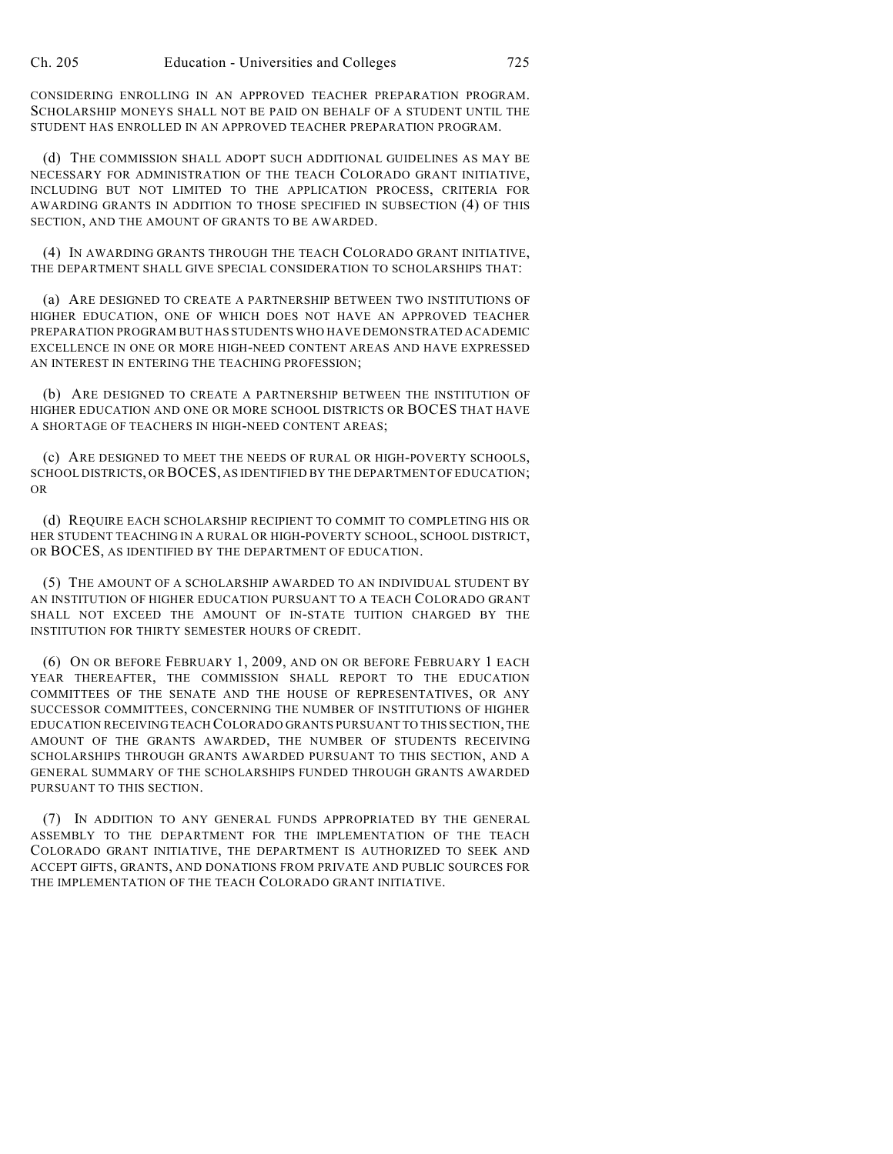CONSIDERING ENROLLING IN AN APPROVED TEACHER PREPARATION PROGRAM. SCHOLARSHIP MONEYS SHALL NOT BE PAID ON BEHALF OF A STUDENT UNTIL THE STUDENT HAS ENROLLED IN AN APPROVED TEACHER PREPARATION PROGRAM.

(d) THE COMMISSION SHALL ADOPT SUCH ADDITIONAL GUIDELINES AS MAY BE NECESSARY FOR ADMINISTRATION OF THE TEACH COLORADO GRANT INITIATIVE, INCLUDING BUT NOT LIMITED TO THE APPLICATION PROCESS, CRITERIA FOR AWARDING GRANTS IN ADDITION TO THOSE SPECIFIED IN SUBSECTION (4) OF THIS SECTION, AND THE AMOUNT OF GRANTS TO BE AWARDED.

(4) IN AWARDING GRANTS THROUGH THE TEACH COLORADO GRANT INITIATIVE, THE DEPARTMENT SHALL GIVE SPECIAL CONSIDERATION TO SCHOLARSHIPS THAT:

(a) ARE DESIGNED TO CREATE A PARTNERSHIP BETWEEN TWO INSTITUTIONS OF HIGHER EDUCATION, ONE OF WHICH DOES NOT HAVE AN APPROVED TEACHER PREPARATION PROGRAM BUT HAS STUDENTS WHO HAVE DEMONSTRATED ACADEMIC EXCELLENCE IN ONE OR MORE HIGH-NEED CONTENT AREAS AND HAVE EXPRESSED AN INTEREST IN ENTERING THE TEACHING PROFESSION;

(b) ARE DESIGNED TO CREATE A PARTNERSHIP BETWEEN THE INSTITUTION OF HIGHER EDUCATION AND ONE OR MORE SCHOOL DISTRICTS OR BOCES THAT HAVE A SHORTAGE OF TEACHERS IN HIGH-NEED CONTENT AREAS;

(c) ARE DESIGNED TO MEET THE NEEDS OF RURAL OR HIGH-POVERTY SCHOOLS, SCHOOL DISTRICTS, OR BOCES, AS IDENTIFIED BY THE DEPARTMENT OF EDUCATION; OR

(d) REQUIRE EACH SCHOLARSHIP RECIPIENT TO COMMIT TO COMPLETING HIS OR HER STUDENT TEACHING IN A RURAL OR HIGH-POVERTY SCHOOL, SCHOOL DISTRICT, OR BOCES, AS IDENTIFIED BY THE DEPARTMENT OF EDUCATION.

(5) THE AMOUNT OF A SCHOLARSHIP AWARDED TO AN INDIVIDUAL STUDENT BY AN INSTITUTION OF HIGHER EDUCATION PURSUANT TO A TEACH COLORADO GRANT SHALL NOT EXCEED THE AMOUNT OF IN-STATE TUITION CHARGED BY THE INSTITUTION FOR THIRTY SEMESTER HOURS OF CREDIT.

(6) ON OR BEFORE FEBRUARY 1, 2009, AND ON OR BEFORE FEBRUARY 1 EACH YEAR THEREAFTER, THE COMMISSION SHALL REPORT TO THE EDUCATION COMMITTEES OF THE SENATE AND THE HOUSE OF REPRESENTATIVES, OR ANY SUCCESSOR COMMITTEES, CONCERNING THE NUMBER OF INSTITUTIONS OF HIGHER EDUCATION RECEIVING TEACH COLORADO GRANTS PURSUANT TO THIS SECTION, THE AMOUNT OF THE GRANTS AWARDED, THE NUMBER OF STUDENTS RECEIVING SCHOLARSHIPS THROUGH GRANTS AWARDED PURSUANT TO THIS SECTION, AND A GENERAL SUMMARY OF THE SCHOLARSHIPS FUNDED THROUGH GRANTS AWARDED PURSUANT TO THIS SECTION.

(7) IN ADDITION TO ANY GENERAL FUNDS APPROPRIATED BY THE GENERAL ASSEMBLY TO THE DEPARTMENT FOR THE IMPLEMENTATION OF THE TEACH COLORADO GRANT INITIATIVE, THE DEPARTMENT IS AUTHORIZED TO SEEK AND ACCEPT GIFTS, GRANTS, AND DONATIONS FROM PRIVATE AND PUBLIC SOURCES FOR THE IMPLEMENTATION OF THE TEACH COLORADO GRANT INITIATIVE.